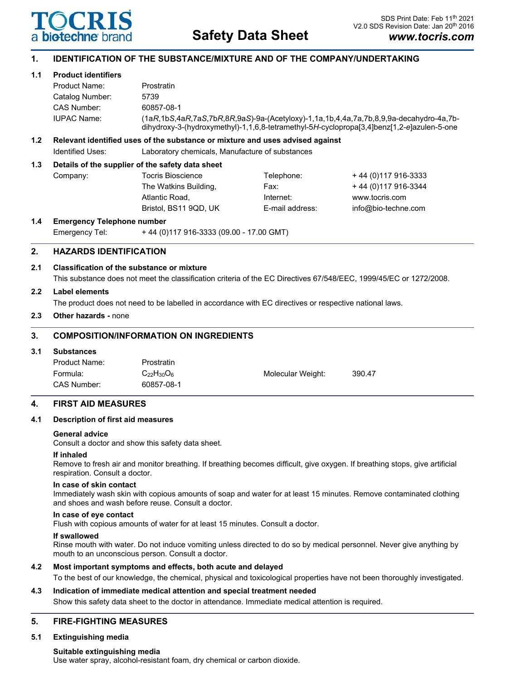

# **1. IDENTIFICATION OF THE SUBSTANCE/MIXTURE AND OF THE COMPANY/UNDERTAKING**

## **1.1 Product identifiers**

| Product Name:      | Prostratin                                                                                                                                                                          |
|--------------------|-------------------------------------------------------------------------------------------------------------------------------------------------------------------------------------|
| Catalog Number:    | 5739                                                                                                                                                                                |
| CAS Number:        | 60857-08-1                                                                                                                                                                          |
| <b>IUPAC Name:</b> | (1aR,1bS,4aR,7aS,7bR,8R,9aS)-9a-(Acetyloxy)-1,1a,1b,4,4a,7a,7b,8,9,9a-decahydro-4a,7b-<br>dihydroxy-3-(hydroxymethyl)-1,1,6,8-tetramethyl-5H-cyclopropa[3,4]benz[1,2-e]azulen-5-one |

# **1.2 Relevant identified uses of the substance or mixture and uses advised against**

Identified Uses: Laboratory chemicals, Manufacture of substances

## **1.3 Details of the supplier of the safety data sheet**

| Company: | Tocris Bioscience     | Telephone:      | +44 (0) 117 916-3333 |
|----------|-----------------------|-----------------|----------------------|
|          | The Watkins Building, | Fax:            | +44 (0) 117 916-3344 |
|          | Atlantic Road.        | Internet:       | www.tocris.com       |
|          | Bristol. BS11 9QD. UK | E-mail address: | info@bio-techne.com  |
|          |                       |                 |                      |

#### **1.4 Emergency Telephone number**

Emergency Tel: + 44 (0)117 916-3333 (09.00 - 17.00 GMT)

# **2. HAZARDS IDENTIFICATION**

## **2.1 Classification of the substance or mixture**

This substance does not meet the classification criteria of the EC Directives 67/548/EEC, 1999/45/EC or 1272/2008.

## **2.2 Label elements**

The product does not need to be labelled in accordance with EC directives or respective national laws.

## **2.3 Other hazards -** none

## **3. COMPOSITION/INFORMATION ON INGREDIENTS**

## **3.1 Substances**

| Product Name: | Prostratin        |                   |        |
|---------------|-------------------|-------------------|--------|
| Formula:      | $C_{22}H_{30}O_6$ | Molecular Weight: | 390.47 |
| CAS Number:   | 60857-08-1        |                   |        |

## **4. FIRST AID MEASURES**

## **4.1 Description of first aid measures**

#### **General advice**

Consult a doctor and show this safety data sheet.

## **If inhaled**

Remove to fresh air and monitor breathing. If breathing becomes difficult, give oxygen. If breathing stops, give artificial respiration. Consult a doctor.

#### **In case of skin contact**

Immediately wash skin with copious amounts of soap and water for at least 15 minutes. Remove contaminated clothing and shoes and wash before reuse. Consult a doctor.

#### **In case of eye contact**

Flush with copious amounts of water for at least 15 minutes. Consult a doctor.

#### **If swallowed**

Rinse mouth with water. Do not induce vomiting unless directed to do so by medical personnel. Never give anything by mouth to an unconscious person. Consult a doctor.

## **4.2 Most important symptoms and effects, both acute and delayed**

To the best of our knowledge, the chemical, physical and toxicological properties have not been thoroughly investigated.

# **4.3 Indication of immediate medical attention and special treatment needed**

Show this safety data sheet to the doctor in attendance. Immediate medical attention is required.

# **5. FIRE-FIGHTING MEASURES**

## **5.1 Extinguishing media**

#### **Suitable extinguishing media**

Use water spray, alcohol-resistant foam, dry chemical or carbon dioxide.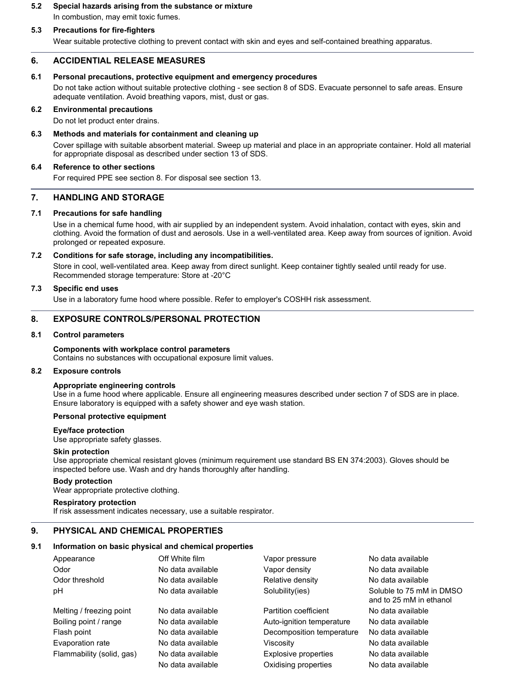# **5.2 Special hazards arising from the substance or mixture** In combustion, may emit toxic fumes.

## **5.3 Precautions for fire-fighters**

Wear suitable protective clothing to prevent contact with skin and eyes and self-contained breathing apparatus.

#### **6. ACCIDENTIAL RELEASE MEASURES**

#### **6.1 Personal precautions, protective equipment and emergency procedures**

Do not take action without suitable protective clothing - see section 8 of SDS. Evacuate personnel to safe areas. Ensure adequate ventilation. Avoid breathing vapors, mist, dust or gas.

#### **6.2 Environmental precautions**

Do not let product enter drains.

#### **6.3 Methods and materials for containment and cleaning up**

Cover spillage with suitable absorbent material. Sweep up material and place in an appropriate container. Hold all material for appropriate disposal as described under section 13 of SDS.

#### **6.4 Reference to other sections**

For required PPE see section 8. For disposal see section 13.

# **7. HANDLING AND STORAGE**

#### **7.1 Precautions for safe handling**

Use in a chemical fume hood, with air supplied by an independent system. Avoid inhalation, contact with eyes, skin and clothing. Avoid the formation of dust and aerosols. Use in a well-ventilated area. Keep away from sources of ignition. Avoid prolonged or repeated exposure.

#### **7.2 Conditions for safe storage, including any incompatibilities.**

Store in cool, well-ventilated area. Keep away from direct sunlight. Keep container tightly sealed until ready for use. Recommended storage temperature: Store at -20°C

## **7.3 Specific end uses**

Use in a laboratory fume hood where possible. Refer to employer's COSHH risk assessment.

#### **8. EXPOSURE CONTROLS/PERSONAL PROTECTION**

#### **8.1 Control parameters**

#### **Components with workplace control parameters** Contains no substances with occupational exposure limit values.

#### **8.2 Exposure controls**

#### **Appropriate engineering controls**

Use in a fume hood where applicable. Ensure all engineering measures described under section 7 of SDS are in place. Ensure laboratory is equipped with a safety shower and eye wash station.

#### **Personal protective equipment**

#### **Eye/face protection**

Use appropriate safety glasses.

#### **Skin protection**

Use appropriate chemical resistant gloves (minimum requirement use standard BS EN 374:2003). Gloves should be inspected before use. Wash and dry hands thoroughly after handling.

#### **Body protection**

Wear appropriate protective clothing.

#### **Respiratory protection**

If risk assessment indicates necessary, use a suitable respirator.

## **9. PHYSICAL AND CHEMICAL PROPERTIES**

#### **9.1 Information on basic physical and chemical properties**

| Appearance                | Off White film    | Vapor pressure            | No data available                                   |  |
|---------------------------|-------------------|---------------------------|-----------------------------------------------------|--|
| Odor                      | No data available | Vapor density             | No data available                                   |  |
| Odor threshold            | No data available | Relative density          | No data available                                   |  |
| рH                        | No data available | Solubility(ies)           | Soluble to 75 mM in DMSO<br>and to 25 mM in ethanol |  |
| Melting / freezing point  | No data available | Partition coefficient     | No data available                                   |  |
| Boiling point / range     | No data available | Auto-ignition temperature | No data available                                   |  |
| Flash point               | No data available | Decomposition temperature | No data available                                   |  |
| Evaporation rate          | No data available | Viscosity                 | No data available                                   |  |
| Flammability (solid, gas) | No data available | Explosive properties      | No data available                                   |  |
|                           | No data available | Oxidising properties      | No data available                                   |  |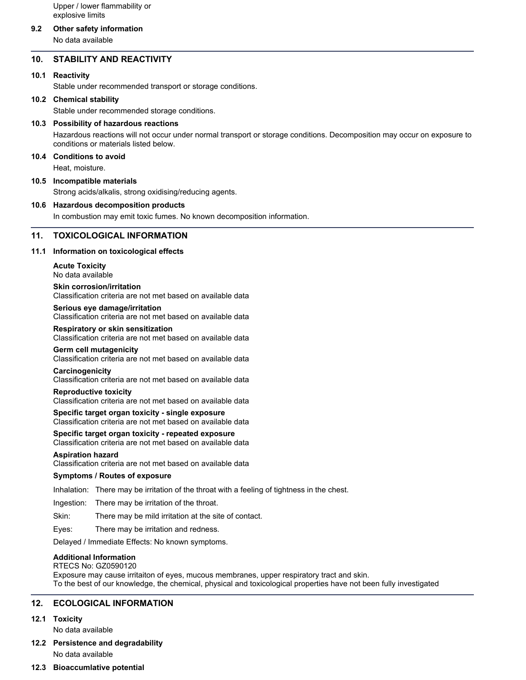Upper / lower flammability or explosive limits

## **9.2 Other safety information**

No data available

## **10. STABILITY AND REACTIVITY**

## **10.1 Reactivity**

Stable under recommended transport or storage conditions.

#### **10.2 Chemical stability**

Stable under recommended storage conditions.

#### **10.3 Possibility of hazardous reactions**

Hazardous reactions will not occur under normal transport or storage conditions. Decomposition may occur on exposure to conditions or materials listed below.

# **10.4 Conditions to avoid**

Heat, moisture.

#### **10.5 Incompatible materials**

Strong acids/alkalis, strong oxidising/reducing agents.

## **10.6 Hazardous decomposition products**

In combustion may emit toxic fumes. No known decomposition information.

#### **11. TOXICOLOGICAL INFORMATION**

#### **11.1 Information on toxicological effects**

**Acute Toxicity** No data available

**Skin corrosion/irritation** Classification criteria are not met based on available data

**Serious eye damage/irritation** Classification criteria are not met based on available data

#### **Respiratory or skin sensitization**

Classification criteria are not met based on available data

#### **Germ cell mutagenicity**

Classification criteria are not met based on available data

#### **Carcinogenicity**

Classification criteria are not met based on available data

## **Reproductive toxicity**

Classification criteria are not met based on available data

#### **Specific target organ toxicity - single exposure** Classification criteria are not met based on available data

**Specific target organ toxicity - repeated exposure** Classification criteria are not met based on available data

#### **Aspiration hazard**

Classification criteria are not met based on available data

#### **Symptoms / Routes of exposure**

Inhalation: There may be irritation of the throat with a feeling of tightness in the chest.

Ingestion: There may be irritation of the throat.

Skin: There may be mild irritation at the site of contact.

Eyes: There may be irritation and redness.

Delayed / Immediate Effects: No known symptoms.

#### **Additional Information**

RTECS No: GZ0590120 Exposure may cause irritaiton of eyes, mucous membranes, upper respiratory tract and skin. To the best of our knowledge, the chemical, physical and toxicological properties have not been fully investigated

## **12. ECOLOGICAL INFORMATION**

## **12.1 Toxicity**

No data available

**12.2 Persistence and degradability** No data available

## **12.3 Bioaccumlative potential**